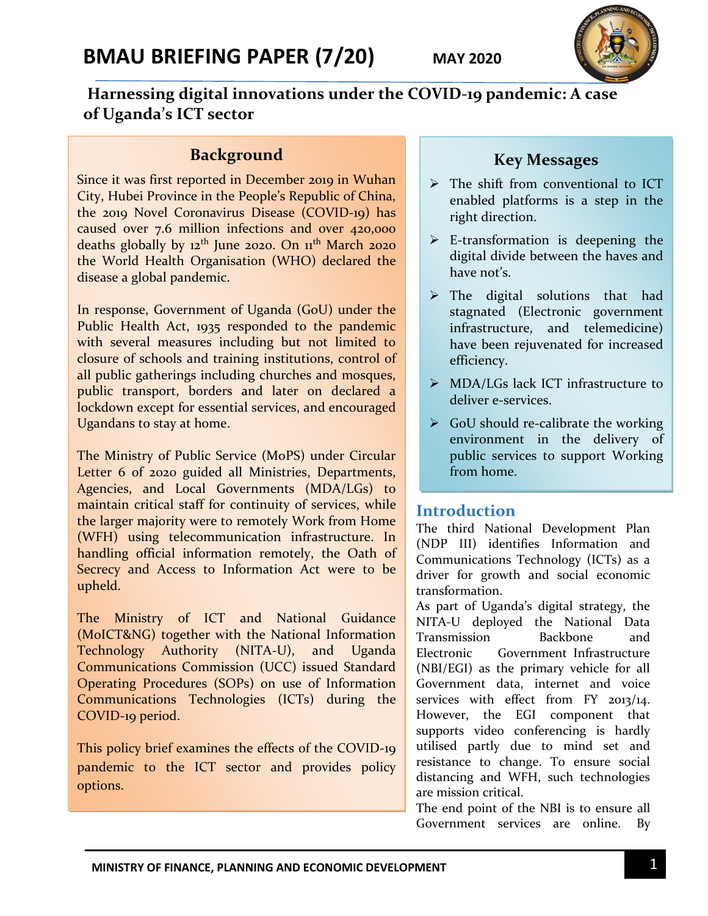

## **Harnessing digital innovations under the COVID-19 pandemic: A case of Uganda's ICT sector**

#### **Background**

Since it was first reported in December 2019 in Wuhan City, Hubei Province in the People's Republic of China, the 2019 Novel Coronavirus Disease (COVID-19) has caused over 7.6 million infections and over 420,000 deaths globally by  $12<sup>th</sup>$  June 2020. On  $11<sup>th</sup>$  March 2020 the World Health Organisation (WHO) declared the disease a global pandemic.

In response, Government of Uganda (GoU) under the Public Health Act, 1935 responded to the pandemic with several measures including but not limited to closure of schools and training institutions, control of all public gatherings including churches and mosques, public transport, borders and later on declared a lockdown except for essential services, and encouraged Ugandans to stay at home.

The Ministry of Public Service (MoPS) under Circular Letter 6 of 2020 guided all Ministries, Departments, Agencies, and Local Governments (MDA/LGs) to maintain critical staff for continuity of services, while the larger majority were to remotely Work from Home (WFH) using telecommunication infrastructure. In handling official information remotely, the Oath of Secrecy and Access to Information Act were to be upheld.

The Ministry of ICT and National Guidance (MoICT&NG) together with the National Information Technology Authority (NITA-U), and Uganda Communications Commission (UCC) issued Standard Operating Procedures (SOPs) on use of Information Communications Technologies (ICTs) during the COVID-19 period.

This policy brief examines the effects of the COVID-19 pandemic to the ICT sector and provides policy options.

### **Key Messages**

- > The shift from conventional to ICT enabled platforms is a step in the right direction.
- $\triangleright$  E-transformation is deepening the digital divide between the haves and have not's.
- $\triangleright$  The digital solutions that had stagnated (Electronic government infrastructure, and telemedicine) have been rejuvenated for increased efficiency.
- > MDA/LGs lack ICT infrastructure to deliver e-services.
- $\triangleright$  GoU should re-calibrate the working environment in the delivery of public services to support Working from home.

#### **Introduction**

The third National Development Plan (NDP III) identifies Information and Communications Technology (ICTs) as a driver for growth and social economic transformation.

As part of Uganda's digital strategy, the NITA-U deployed the National Data Transmission Backbone and Electronic Government Infrastructure (NBI/EGI) as the primary vehicle for all Government data, internet and voice services with effect from FY 2013/14. However, the EGI component that supports video conferencing is hardly utilised partly due to mind set and resistance to change. To ensure social distancing and WFH, such technologies are mission critical.

The end point of the NBI is to ensure all Government services are online. By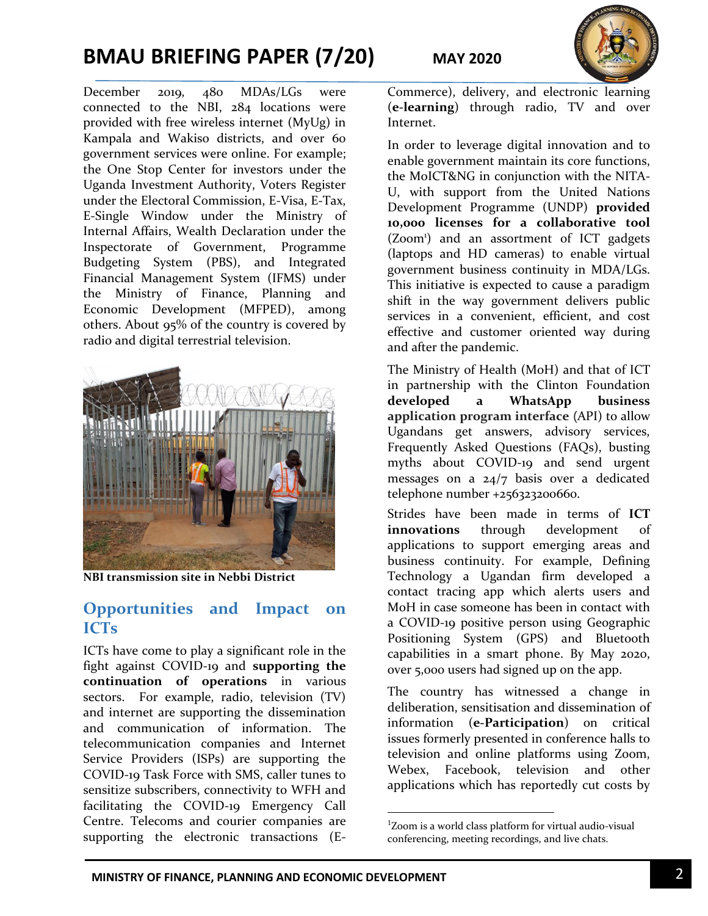# **BMAU BRIEFING PAPER (7/20) MAY 2020**

December 2019, 480 MDAs/LGs were connected to the NBI, 284 locations were provided with free wireless internet (MyUg) in Kampala and Wakiso districts, and over 60 government services were online. For example; the One Stop Center for investors under the Uganda Investment Authority, Voters Register under the Electoral Commission, E-Visa, E-Tax, E-Single Window under the Ministry of Internal Affairs, Wealth Declaration under the Inspectorate of Government, Programme Budgeting System (PBS), and Integrated Financial Management System (IFMS) under the Ministry of Finance, Planning and Economic Development (MFPED), among others. About 95% of the country is covered by radio and digital terrestrial television.



**NBI transmission site in Nebbi District**

#### **Opportunities and Impact on ICTs**

ICTs have come to play a significant role in the fight against COVID-19 and **supporting the continuation of operations** in various sectors. For example, radio, television (TV) and internet are supporting the dissemination and communication of information. The telecommunication companies and Internet Service Providers (ISPs) are supporting the COVID-19 Task Force with SMS, caller tunes to sensitize subscribers, connectivity to WFH and facilitating the COVID-19 Emergency Call Centre. Telecoms and courier companies are supporting the electronic transactions (E-



Commerce), delivery, and electronic learning (**e-learning**) through radio, TV and over Internet.

In order to leverage digital innovation and to enable government maintain its core functions, the MoICT&NG in conjunction with the NITA-U, with support from the United Nations Development Programme (UNDP) **provided 10,000 licenses for a collaborative tool** (Zoom<sup>1</sup>) and an assortment of ICT gadgets (laptops and HD cameras) to enable virtual government business continuity in MDA/LGs. This initiative is expected to cause a paradigm shift in the way government delivers public services in a convenient, efficient, and cost effective and customer oriented way during and after the pandemic.

The Ministry of Health (MoH) and that of ICT in partnership with the Clinton Foundation **developed a WhatsApp business application program interface** (API) to allow Ugandans get answers, advisory services, Frequently Asked Questions (FAQs), busting myths about COVID-19 and send urgent messages on a 24/7 basis over a dedicated telephone number +256323200660.

Strides have been made in terms of **ICT innovations** through development of applications to support emerging areas and business continuity. For example, Defining Technology a Ugandan firm developed a contact tracing app which alerts users and MoH in case someone has been in contact with a COVID-19 positive person using Geographic Positioning System (GPS) and Bluetooth capabilities in a smart phone. By May 2020, over 5,000 users had signed up on the app.

The country has witnessed a change in deliberation, sensitisation and dissemination of information (**e-Participation**) on critical issues formerly presented in conference halls to television and online platforms using Zoom, Webex, Facebook, television and other applications which has reportedly cut costs by

 $\overline{a}$ 

<sup>1</sup>Zoom is a world class platform for virtual audio-visual conferencing, meeting recordings, and live chats.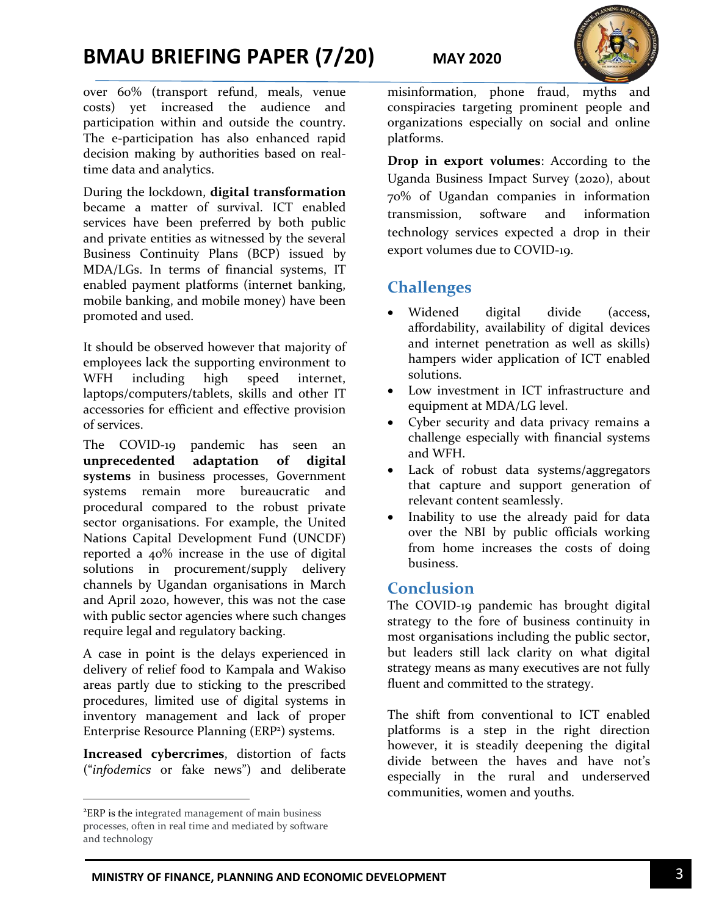# **BMAU BRIEFING PAPER (7/20) MAY 2020**



over 60% (transport refund, meals, venue costs) yet increased the audience and participation within and outside the country. The e-participation has also enhanced rapid decision making by authorities based on realtime data and analytics.

During the lockdown, **digital transformation** became a matter of survival. ICT enabled services have been preferred by both public and private entities as witnessed by the several Business Continuity Plans (BCP) issued by MDA/LGs. In terms of financial systems, IT enabled payment platforms (internet banking, mobile banking, and mobile money) have been promoted and used.

It should be observed however that majority of employees lack the supporting environment to WFH including high speed internet, laptops/computers/tablets, skills and other IT accessories for efficient and effective provision of services.

The COVID-19 pandemic has seen an **unprecedented adaptation of digital systems** in business processes, Government systems remain more bureaucratic and procedural compared to the robust private sector organisations. For example, the United Nations Capital Development Fund (UNCDF) reported a 40% increase in the use of digital solutions in procurement/supply delivery channels by Ugandan organisations in March and April 2020, however, this was not the case with public sector agencies where such changes require legal and regulatory backing.

A case in point is the delays experienced in delivery of relief food to Kampala and Wakiso areas partly due to sticking to the prescribed procedures, limited use of digital systems in inventory management and lack of proper Enterprise Resource Planning (ERP<sup>2</sup>) systems.

**Increased cybercrimes**, distortion of facts ("*infodemics* or fake news") and deliberate

l

misinformation, phone fraud, myths and conspiracies targeting prominent people and organizations especially on social and online platforms.

**Drop in export volumes**: According to the Uganda Business Impact Survey (2020), about 70% of Ugandan companies in information transmission, software and information technology services expected a drop in their export volumes due to COVID-19.

## **Challenges**

- Widened digital divide (access, affordability, availability of digital devices and internet penetration as well as skills) hampers wider application of ICT enabled solutions.
- Low investment in ICT infrastructure and equipment at MDA/LG level.
- Cyber security and data privacy remains a challenge especially with financial systems and WFH.
- Lack of robust data systems/aggregators that capture and support generation of relevant content seamlessly.
- Inability to use the already paid for data over the NBI by public officials working from home increases the costs of doing business.

#### **Conclusion**

The COVID-19 pandemic has brought digital strategy to the fore of business continuity in most organisations including the public sector, but leaders still lack clarity on what digital strategy means as many executives are not fully fluent and committed to the strategy.

The shift from conventional to ICT enabled platforms is a step in the right direction however, it is steadily deepening the digital divide between the haves and have not's especially in the rural and underserved communities, women and youths.

<sup>2</sup>ERP is the integrated management of main business processes, often in real time and mediated by software and technology